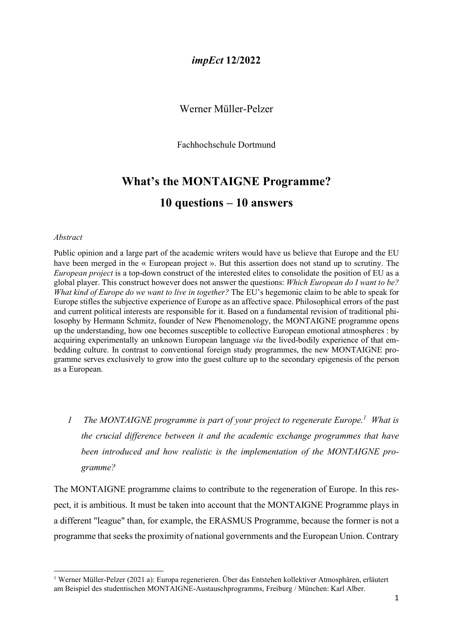### Werner Müller-Pelzer

Fachhochschule Dortmund

# What's the MONTAIGNE Programme? 10 questions – 10 answers

#### Abstract

Public opinion and a large part of the academic writers would have us believe that Europe and the EU have been merged in the « European project ». But this assertion does not stand up to scrutiny. The European project is a top-down construct of the interested elites to consolidate the position of EU as a global player. This construct however does not answer the questions: Which European do I want to be? What kind of Europe do we want to live in together? The EU's hegemonic claim to be able to speak for Europe stifles the subjective experience of Europe as an affective space. Philosophical errors of the past and current political interests are responsible for it. Based on a fundamental revision of traditional philosophy by Hermann Schmitz, founder of New Phenomenology, the MONTAIGNE programme opens up the understanding, how one becomes susceptible to collective European emotional atmospheres : by acquiring experimentally an unknown European language via the lived-bodily experience of that embedding culture. In contrast to conventional foreign study programmes, the new MONTAIGNE programme serves exclusively to grow into the guest culture up to the secondary epigenesis of the person as a European.

1 The MONTAIGNE programme is part of your project to regenerate Europe.<sup>1</sup> What is the crucial difference between it and the academic exchange programmes that have been introduced and how realistic is the implementation of the MONTAIGNE programme?

The MONTAIGNE programme claims to contribute to the regeneration of Europe. In this respect, it is ambitious. It must be taken into account that the MONTAIGNE Programme plays in a different "league" than, for example, the ERASMUS Programme, because the former is not a programme that seeks the proximity of national governments and the European Union. Contrary

<sup>1</sup> Werner Müller-Pelzer (2021 a): Europa regenerieren. Über das Entstehen kollektiver Atmosphären, erläutert am Beispiel des studentischen MONTAIGNE-Austauschprogramms, Freiburg / München: Karl Alber.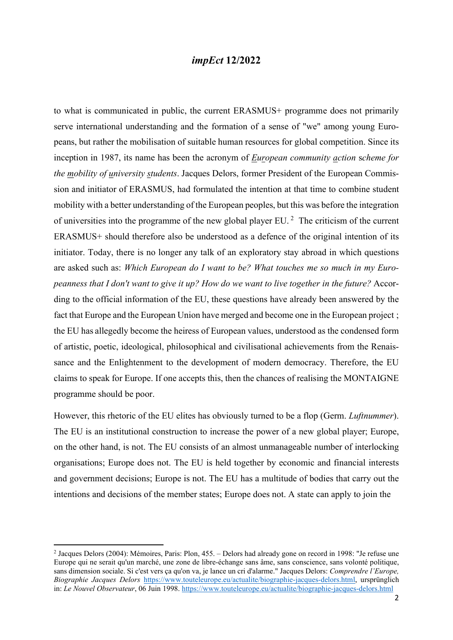to what is communicated in public, the current ERASMUS+ programme does not primarily serve international understanding and the formation of a sense of "we" among young Europeans, but rather the mobilisation of suitable human resources for global competition. Since its inception in 1987, its name has been the acronym of European community action scheme for the mobility of university students. Jacques Delors, former President of the European Commission and initiator of ERASMUS, had formulated the intention at that time to combine student mobility with a better understanding of the European peoples, but this was before the integration of universities into the programme of the new global player EU.<sup>2</sup> The criticism of the current ERASMUS+ should therefore also be understood as a defence of the original intention of its initiator. Today, there is no longer any talk of an exploratory stay abroad in which questions are asked such as: Which European do I want to be? What touches me so much in my Europeanness that I don't want to give it up? How do we want to live together in the future? According to the official information of the EU, these questions have already been answered by the fact that Europe and the European Union have merged and become one in the European project ; the EU has allegedly become the heiress of European values, understood as the condensed form of artistic, poetic, ideological, philosophical and civilisational achievements from the Renaissance and the Enlightenment to the development of modern democracy. Therefore, the EU claims to speak for Europe. If one accepts this, then the chances of realising the MONTAIGNE programme should be poor.

However, this rhetoric of the EU elites has obviously turned to be a flop (Germ. *Luftnummer*). The EU is an institutional construction to increase the power of a new global player; Europe, on the other hand, is not. The EU consists of an almost unmanageable number of interlocking organisations; Europe does not. The EU is held together by economic and financial interests and government decisions; Europe is not. The EU has a multitude of bodies that carry out the intentions and decisions of the member states; Europe does not. A state can apply to join the

<sup>2</sup> Jacques Delors (2004): Mémoires, Paris: Plon, 455. – Delors had already gone on record in 1998: "Je refuse une Europe qui ne serait qu'un marché, une zone de libre-échange sans âme, sans conscience, sans volonté politique, sans dimension sociale. Si c'est vers ça qu'on va, je lance un cri d'alarme." Jacques Delors: Comprendre l'Europe, Biographie Jacques Delors https://www.touteleurope.eu/actualite/biographie-jacques-delors.html, ursprünglich in: Le Nouvel Observateur, 06 Juin 1998. https://www.touteleurope.eu/actualite/biographie-jacques-delors.html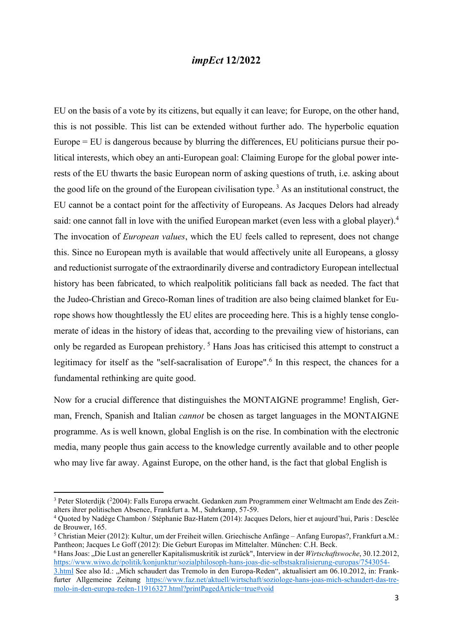EU on the basis of a vote by its citizens, but equally it can leave; for Europe, on the other hand, this is not possible. This list can be extended without further ado. The hyperbolic equation Europe = EU is dangerous because by blurring the differences, EU politicians pursue their political interests, which obey an anti-European goal: Claiming Europe for the global power interests of the EU thwarts the basic European norm of asking questions of truth, i.e. asking about the good life on the ground of the European civilisation type.<sup>3</sup> As an institutional construct, the EU cannot be a contact point for the affectivity of Europeans. As Jacques Delors had already said: one cannot fall in love with the unified European market (even less with a global player).<sup>4</sup> The invocation of *European values*, which the EU feels called to represent, does not change this. Since no European myth is available that would affectively unite all Europeans, a glossy and reductionist surrogate of the extraordinarily diverse and contradictory European intellectual history has been fabricated, to which realpolitik politicians fall back as needed. The fact that the Judeo-Christian and Greco-Roman lines of tradition are also being claimed blanket for Europe shows how thoughtlessly the EU elites are proceeding here. This is a highly tense conglomerate of ideas in the history of ideas that, according to the prevailing view of historians, can only be regarded as European prehistory.<sup>5</sup> Hans Joas has criticised this attempt to construct a legitimacy for itself as the "self-sacralisation of Europe".<sup>6</sup> In this respect, the chances for a fundamental rethinking are quite good.

Now for a crucial difference that distinguishes the MONTAIGNE programme! English, German, French, Spanish and Italian cannot be chosen as target languages in the MONTAIGNE programme. As is well known, global English is on the rise. In combination with the electronic media, many people thus gain access to the knowledge currently available and to other people who may live far away. Against Europe, on the other hand, is the fact that global English is

<sup>&</sup>lt;sup>3</sup> Peter Sloterdijk (<sup>2</sup>2004): Falls Europa erwacht. Gedanken zum Programmem einer Weltmacht am Ende des Zeitalters ihrer politischen Absence, Frankfurt a. M., Suhrkamp, 57-59.

<sup>4</sup> Quoted by Nadège Chambon / Stéphanie Baz-Hatem (2014): Jacques Delors, hier et aujourd'hui, Paris : Desclée de Brouwer, 165.

<sup>5</sup> Christian Meier (2012): Kultur, um der Freiheit willen. Griechische Anfänge – Anfang Europas?, Frankfurt a.M.: Pantheon; Jacques Le Goff (2012): Die Geburt Europas im Mittelalter. München: C.H. Beck.

<sup>&</sup>lt;sup>6</sup> Hans Joas: "Die Lust an genereller Kapitalismuskritik ist zurück", Interview in der Wirtschaftswoche, 30.12.2012, https://www.wiwo.de/politik/konjunktur/sozialphilosoph-hans-joas-die-selbstsakralisierung-europas/7543054-

<sup>3.</sup>html See also Id.: "Mich schaudert das Tremolo in den Europa-Reden", aktualisiert am 06.10.2012, in: Frankfurter Allgemeine Zeitung https://www.faz.net/aktuell/wirtschaft/soziologe-hans-joas-mich-schaudert-das-tremolo-in-den-europa-reden-11916327.html?printPagedArticle=true#void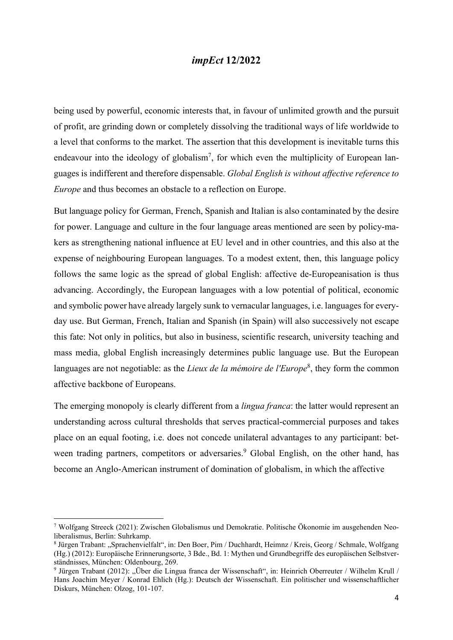being used by powerful, economic interests that, in favour of unlimited growth and the pursuit of profit, are grinding down or completely dissolving the traditional ways of life worldwide to a level that conforms to the market. The assertion that this development is inevitable turns this endeavour into the ideology of globalism<sup>7</sup>, for which even the multiplicity of European languages is indifferent and therefore dispensable. Global English is without affective reference to Europe and thus becomes an obstacle to a reflection on Europe.

But language policy for German, French, Spanish and Italian is also contaminated by the desire for power. Language and culture in the four language areas mentioned are seen by policy-makers as strengthening national influence at EU level and in other countries, and this also at the expense of neighbouring European languages. To a modest extent, then, this language policy follows the same logic as the spread of global English: affective de-Europeanisation is thus advancing. Accordingly, the European languages with a low potential of political, economic and symbolic power have already largely sunk to vernacular languages, i.e. languages for everyday use. But German, French, Italian and Spanish (in Spain) will also successively not escape this fate: Not only in politics, but also in business, scientific research, university teaching and mass media, global English increasingly determines public language use. But the European languages are not negotiable: as the *Lieux de la mémoire de l'Europe*<sup>8</sup>, they form the common affective backbone of Europeans.

The emerging monopoly is clearly different from a *lingua franca*: the latter would represent an understanding across cultural thresholds that serves practical-commercial purposes and takes place on an equal footing, i.e. does not concede unilateral advantages to any participant: between trading partners, competitors or adversaries.<sup>9</sup> Global English, on the other hand, has become an Anglo-American instrument of domination of globalism, in which the affective

<sup>7</sup> Wolfgang Streeck (2021): Zwischen Globalismus und Demokratie. Politische Ökonomie im ausgehenden Neoliberalismus, Berlin: Suhrkamp.

<sup>8</sup> Jürgen Trabant: "Sprachenvielfalt", in: Den Boer, Pim / Duchhardt, Heimnz / Kreis, Georg / Schmale, Wolfgang (Hg.) (2012): Europäische Erinnerungsorte, 3 Bde., Bd. 1: Mythen und Grundbegriffe des europäischen Selbstverständnisses, München: Oldenbourg, 269.

<sup>&</sup>lt;sup>9</sup> Jürgen Trabant (2012): "Über die Lingua franca der Wissenschaft", in: Heinrich Oberreuter / Wilhelm Krull / Hans Joachim Meyer / Konrad Ehlich (Hg.): Deutsch der Wissenschaft. Ein politischer und wissenschaftlicher Diskurs, München: Olzog, 101-107.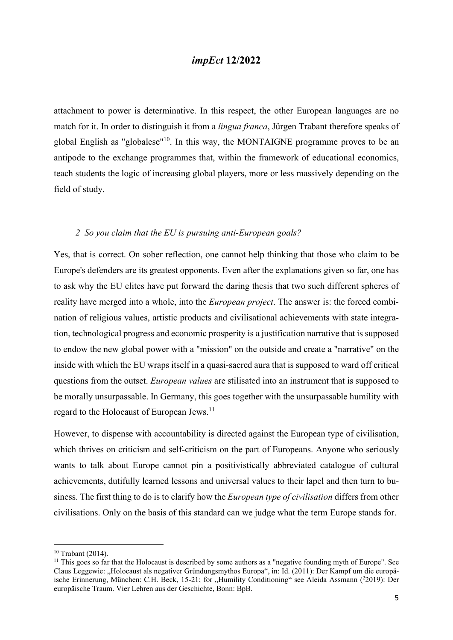attachment to power is determinative. In this respect, the other European languages are no match for it. In order to distinguish it from a lingua franca, Jürgen Trabant therefore speaks of global English as "globalese"<sup>10</sup>. In this way, the MONTAIGNE programme proves to be an antipode to the exchange programmes that, within the framework of educational economics, teach students the logic of increasing global players, more or less massively depending on the field of study.

#### 2 So you claim that the EU is pursuing anti-European goals?

Yes, that is correct. On sober reflection, one cannot help thinking that those who claim to be Europe's defenders are its greatest opponents. Even after the explanations given so far, one has to ask why the EU elites have put forward the daring thesis that two such different spheres of reality have merged into a whole, into the *European project*. The answer is: the forced combination of religious values, artistic products and civilisational achievements with state integration, technological progress and economic prosperity is a justification narrative that is supposed to endow the new global power with a "mission" on the outside and create a "narrative" on the inside with which the EU wraps itself in a quasi-sacred aura that is supposed to ward off critical questions from the outset. European values are stilisated into an instrument that is supposed to be morally unsurpassable. In Germany, this goes together with the unsurpassable humility with regard to the Holocaust of European Jews.<sup>11</sup>

However, to dispense with accountability is directed against the European type of civilisation, which thrives on criticism and self-criticism on the part of Europeans. Anyone who seriously wants to talk about Europe cannot pin a positivistically abbreviated catalogue of cultural achievements, dutifully learned lessons and universal values to their lapel and then turn to business. The first thing to do is to clarify how the *European type of civilisation* differs from other civilisations. Only on the basis of this standard can we judge what the term Europe stands for.

<sup>10</sup> Trabant (2014).

 $11$  This goes so far that the Holocaust is described by some authors as a "negative founding myth of Europe". See Claus Leggewie: "Holocaust als negativer Gründungsmythos Europa", in: Id. (2011): Der Kampf um die europäische Erinnerung, München: C.H. Beck, 15-21; for "Humility Conditioning" see Aleida Assmann (22019): Der europäische Traum. Vier Lehren aus der Geschichte, Bonn: BpB.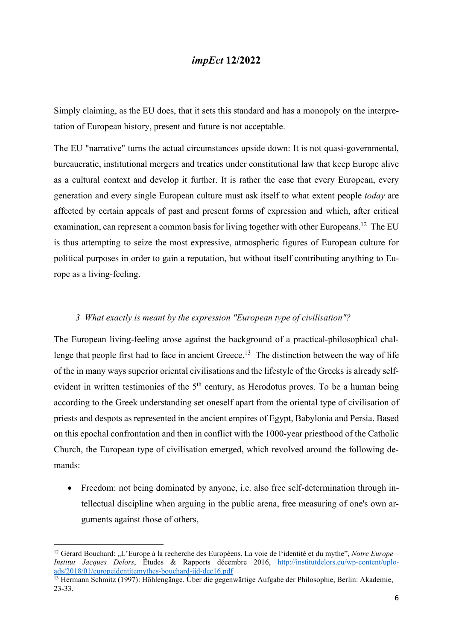Simply claiming, as the EU does, that it sets this standard and has a monopoly on the interpretation of European history, present and future is not acceptable.

The EU "narrative" turns the actual circumstances upside down: It is not quasi-governmental, bureaucratic, institutional mergers and treaties under constitutional law that keep Europe alive as a cultural context and develop it further. It is rather the case that every European, every generation and every single European culture must ask itself to what extent people today are affected by certain appeals of past and present forms of expression and which, after critical examination, can represent a common basis for living together with other Europeans.<sup>12</sup> The EU is thus attempting to seize the most expressive, atmospheric figures of European culture for political purposes in order to gain a reputation, but without itself contributing anything to Europe as a living-feeling.

#### 3 What exactly is meant by the expression "European type of civilisation"?

The European living-feeling arose against the background of a practical-philosophical challenge that people first had to face in ancient Greece.<sup>13</sup> The distinction between the way of life of the in many ways superior oriental civilisations and the lifestyle of the Greeks is already selfevident in written testimonies of the  $5<sup>th</sup>$  century, as Herodotus proves. To be a human being according to the Greek understanding set oneself apart from the oriental type of civilisation of priests and despots as represented in the ancient empires of Egypt, Babylonia and Persia. Based on this epochal confrontation and then in conflict with the 1000-year priesthood of the Catholic Church, the European type of civilisation emerged, which revolved around the following demands:

 Freedom: not being dominated by anyone, i.e. also free self-determination through intellectual discipline when arguing in the public arena, free measuring of one's own arguments against those of others,

<sup>&</sup>lt;sup>12</sup> Gérard Bouchard: "L'Europe à la recherche des Européens. La voie de l'identité et du mythe", Notre Europe – Institut Jacques Delors, Études & Rapports décembre 2016, http://institutdelors.eu/wp-content/uploads/2018/01/europeidentitemythes-bouchard-ijd-dec16.pdf

<sup>&</sup>lt;sup>13</sup> Hermann Schmitz (1997): Höhlengänge. Über die gegenwärtige Aufgabe der Philosophie, Berlin: Akademie, 23-33.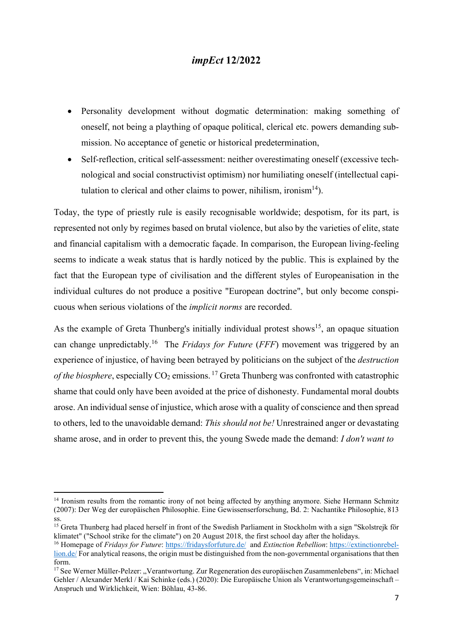- Personality development without dogmatic determination: making something of oneself, not being a plaything of opaque political, clerical etc. powers demanding submission. No acceptance of genetic or historical predetermination,
- Self-reflection, critical self-assessment: neither overestimating oneself (excessive technological and social constructivist optimism) nor humiliating oneself (intellectual capitulation to clerical and other claims to power, nihilism, ironism<sup>14</sup>).

Today, the type of priestly rule is easily recognisable worldwide; despotism, for its part, is represented not only by regimes based on brutal violence, but also by the varieties of elite, state and financial capitalism with a democratic façade. In comparison, the European living-feeling seems to indicate a weak status that is hardly noticed by the public. This is explained by the fact that the European type of civilisation and the different styles of Europeanisation in the individual cultures do not produce a positive "European doctrine", but only become conspicuous when serious violations of the implicit norms are recorded.

As the example of Greta Thunberg's initially individual protest shows<sup>15</sup>, an opaque situation can change unpredictably.<sup>16</sup> The *Fridays for Future (FFF)* movement was triggered by an experience of injustice, of having been betrayed by politicians on the subject of the destruction of the biosphere, especially  $CO_2$  emissions.<sup>17</sup> Greta Thunberg was confronted with catastrophic shame that could only have been avoided at the price of dishonesty. Fundamental moral doubts arose. An individual sense of injustice, which arose with a quality of conscience and then spread to others, led to the unavoidable demand: This should not be! Unrestrained anger or devastating shame arose, and in order to prevent this, the young Swede made the demand: I don't want to

<sup>&</sup>lt;sup>14</sup> Ironism results from the romantic irony of not being affected by anything anymore. Siehe Hermann Schmitz (2007): Der Weg der europäischen Philosophie. Eine Gewissenserforschung, Bd. 2: Nachantike Philosophie, 813 ss.

<sup>&</sup>lt;sup>15</sup> Greta Thunberg had placed herself in front of the Swedish Parliament in Stockholm with a sign "Skolstrejk för klimatet" ("School strike for the climate") on 20 August 2018, the first school day after the holidays.

<sup>&</sup>lt;sup>16</sup> Homepage of *Fridays for Future:* https://fridaysforfuture.de/ and *Extinction Rebellion:* https://extinctionrebellion.de/ For analytical reasons, the origin must be distinguished from the non-governmental organisations that then form.

<sup>&</sup>lt;sup>17</sup> See Werner Müller-Pelzer: "Verantwortung. Zur Regeneration des europäischen Zusammenlebens", in: Michael Gehler / Alexander Merkl / Kai Schinke (eds.) (2020): Die Europäische Union als Verantwortungsgemeinschaft – Anspruch und Wirklichkeit, Wien: Böhlau, 43-86.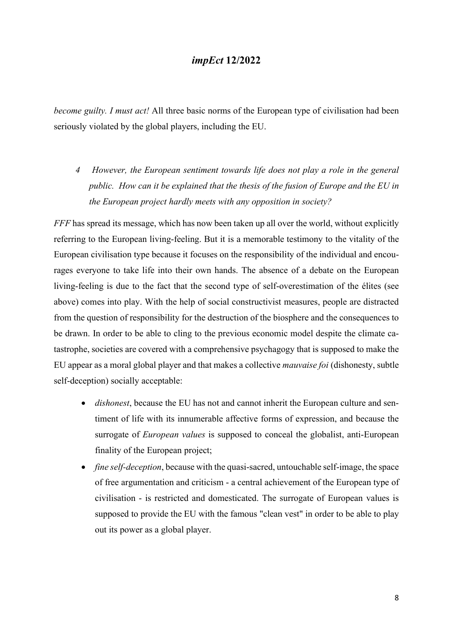become guilty. I must act! All three basic norms of the European type of civilisation had been seriously violated by the global players, including the EU.

4 However, the European sentiment towards life does not play a role in the general public. How can it be explained that the thesis of the fusion of Europe and the EU in the European project hardly meets with any opposition in society?

FFF has spread its message, which has now been taken up all over the world, without explicitly referring to the European living-feeling. But it is a memorable testimony to the vitality of the European civilisation type because it focuses on the responsibility of the individual and encourages everyone to take life into their own hands. The absence of a debate on the European living-feeling is due to the fact that the second type of self-overestimation of the élites (see above) comes into play. With the help of social constructivist measures, people are distracted from the question of responsibility for the destruction of the biosphere and the consequences to be drawn. In order to be able to cling to the previous economic model despite the climate catastrophe, societies are covered with a comprehensive psychagogy that is supposed to make the EU appear as a moral global player and that makes a collective mauvaise foi (dishonesty, subtle self-deception) socially acceptable:

- *dishonest*, because the EU has not and cannot inherit the European culture and sentiment of life with its innumerable affective forms of expression, and because the surrogate of *European values* is supposed to conceal the globalist, anti-European finality of the European project;
- *fine self-deception*, because with the quasi-sacred, untouchable self-image, the space of free argumentation and criticism - a central achievement of the European type of civilisation - is restricted and domesticated. The surrogate of European values is supposed to provide the EU with the famous "clean vest" in order to be able to play out its power as a global player.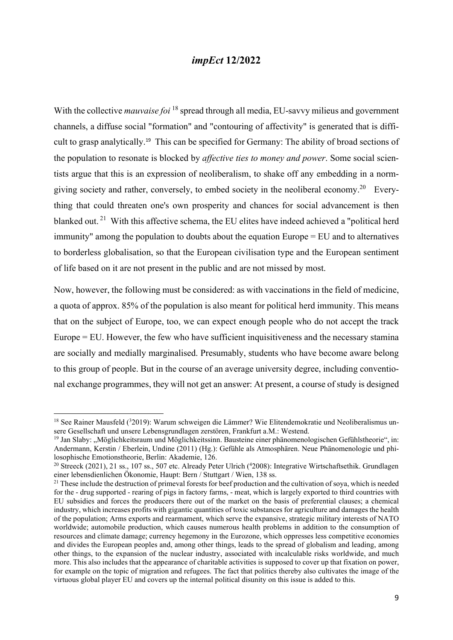With the collective *mauvaise foi*  $^{18}$  spread through all media, EU-savvy milieus and government channels, a diffuse social "formation" and "contouring of affectivity" is generated that is difficult to grasp analytically.19 This can be specified for Germany: The ability of broad sections of the population to resonate is blocked by *affective ties to money and power*. Some social scientists argue that this is an expression of neoliberalism, to shake off any embedding in a normgiving society and rather, conversely, to embed society in the neoliberal economy.<sup>20</sup> Everything that could threaten one's own prosperity and chances for social advancement is then blanked out.<sup>21</sup> With this affective schema, the EU elites have indeed achieved a "political herd immunity" among the population to doubts about the equation Europe = EU and to alternatives to borderless globalisation, so that the European civilisation type and the European sentiment of life based on it are not present in the public and are not missed by most.

Now, however, the following must be considered: as with vaccinations in the field of medicine, a quota of approx. 85% of the population is also meant for political herd immunity. This means that on the subject of Europe, too, we can expect enough people who do not accept the track Europe = EU. However, the few who have sufficient inquisitiveness and the necessary stamina are socially and medially marginalised. Presumably, students who have become aware belong to this group of people. But in the course of an average university degree, including conventional exchange programmes, they will not get an answer: At present, a course of study is designed

<sup>&</sup>lt;sup>18</sup> See Rainer Mausfeld (<sup>3</sup>2019): Warum schweigen die Lämmer? Wie Elitendemokratie und Neoliberalismus unsere Gesellschaft und unsere Lebensgrundlagen zerstören, Frankfurt a.M.: Westend.

 $19$  Jan Slaby: ..Möglichkeitsraum und Möglichkeitssinn. Bausteine einer phänomenologischen Gefühlstheorie", in: Andermann, Kerstin / Eberlein, Undine (2011) (Hg.): Gefühle als Atmosphären. Neue Phänomenologie und philosophische Emotionstheorie, Berlin: Akademie, 126.

<sup>&</sup>lt;sup>20</sup> Streeck (2021), 21 ss., 107 ss., 507 etc. Already Peter Ulrich (<sup>4</sup>2008): Integrative Wirtschaftsethik. Grundlagen einer lebensdienlichen Ökonomie, Haupt: Bern / Stuttgart / Wien, 138 ss.

<sup>&</sup>lt;sup>21</sup> These include the destruction of primeval forests for beef production and the cultivation of soya, which is needed for the - drug supported - rearing of pigs in factory farms, - meat, which is largely exported to third countries with EU subsidies and forces the producers there out of the market on the basis of preferential clauses; a chemical industry, which increases profits with gigantic quantities of toxic substances for agriculture and damages the health of the population; Arms exports and rearmament, which serve the expansive, strategic military interests of NATO worldwide; automobile production, which causes numerous health problems in addition to the consumption of resources and climate damage; currency hegemony in the Eurozone, which oppresses less competitive economies and divides the European peoples and, among other things, leads to the spread of globalism and leading, among other things, to the expansion of the nuclear industry, associated with incalculable risks worldwide, and much more. This also includes that the appearance of charitable activities is supposed to cover up that fixation on power, for example on the topic of migration and refugees. The fact that politics thereby also cultivates the image of the virtuous global player EU and covers up the internal political disunity on this issue is added to this.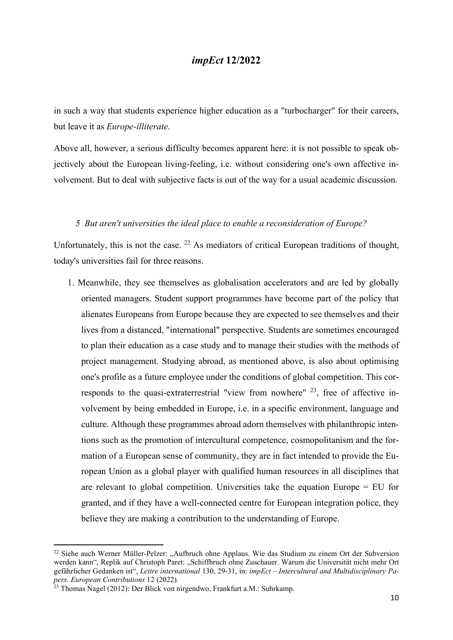in such a way that students experience higher education as a "turbocharger" for their careers, but leave it as Europe-illiterate.

Above all, however, a serious difficulty becomes apparent here: it is not possible to speak objectively about the European living-feeling, i.e. without considering one's own affective involvement. But to deal with subjective facts is out of the way for a usual academic discussion.

#### 5 But aren't universities the ideal place to enable a reconsideration of Europe?

Unfortunately, this is not the case.  $^{22}$  As mediators of critical European traditions of thought, today's universities fail for three reasons.

1. Meanwhile, they see themselves as globalisation accelerators and are led by globally oriented managers. Student support programmes have become part of the policy that alienates Europeans from Europe because they are expected to see themselves and their lives from a distanced, "international" perspective. Students are sometimes encouraged to plan their education as a case study and to manage their studies with the methods of project management. Studying abroad, as mentioned above, is also about optimising one's profile as a future employee under the conditions of global competition. This corresponds to the quasi-extraterrestrial "view from nowhere" <sup>23</sup>, free of affective involvement by being embedded in Europe, i.e. in a specific environment, language and culture. Although these programmes abroad adorn themselves with philanthropic intentions such as the promotion of intercultural competence, cosmopolitanism and the formation of a European sense of community, they are in fact intended to provide the European Union as a global player with qualified human resources in all disciplines that are relevant to global competition. Universities take the equation Europe = EU for granted, and if they have a well-connected centre for European integration police, they believe they are making a contribution to the understanding of Europe.

<sup>&</sup>lt;sup>22</sup> Siehe auch Werner Müller-Pelzer: "Aufbruch ohne Applaus. Wie das Studium zu einem Ort der Subversion werden kann", Replik auf Christoph Paret: "Schiffbruch ohne Zuschauer. Warum die Universität nicht mehr Ort gefährlicher Gedanken ist", Lettre international 130, 29-31, in: impEct – Intercultural and Multidisciplinary Papers. European Contributions 12 (2022).

<sup>&</sup>lt;sup>23</sup> Thomas Nagel (2012): Der Blick von nirgendwo, Frankfurt a.M.: Suhrkamp.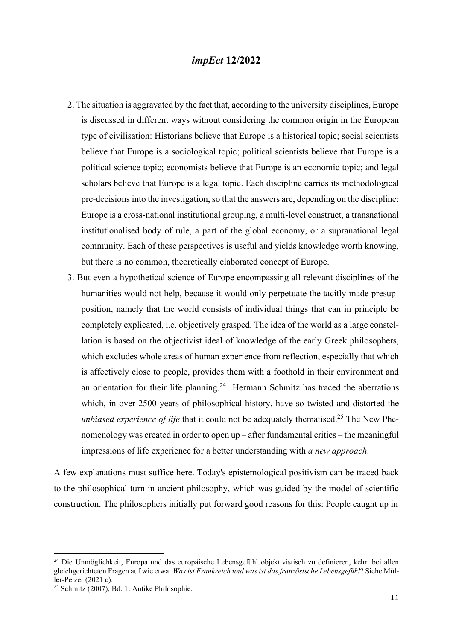- 2. The situation is aggravated by the fact that, according to the university disciplines, Europe is discussed in different ways without considering the common origin in the European type of civilisation: Historians believe that Europe is a historical topic; social scientists believe that Europe is a sociological topic; political scientists believe that Europe is a political science topic; economists believe that Europe is an economic topic; and legal scholars believe that Europe is a legal topic. Each discipline carries its methodological pre-decisions into the investigation, so that the answers are, depending on the discipline: Europe is a cross-national institutional grouping, a multi-level construct, a transnational institutionalised body of rule, a part of the global economy, or a supranational legal community. Each of these perspectives is useful and yields knowledge worth knowing, but there is no common, theoretically elaborated concept of Europe.
- 3. But even a hypothetical science of Europe encompassing all relevant disciplines of the humanities would not help, because it would only perpetuate the tacitly made presupposition, namely that the world consists of individual things that can in principle be completely explicated, i.e. objectively grasped. The idea of the world as a large constellation is based on the objectivist ideal of knowledge of the early Greek philosophers, which excludes whole areas of human experience from reflection, especially that which is affectively close to people, provides them with a foothold in their environment and an orientation for their life planning.<sup>24</sup> Hermann Schmitz has traced the aberrations which, in over 2500 years of philosophical history, have so twisted and distorted the unbiased experience of life that it could not be adequately thematised.<sup>25</sup> The New Phenomenology was created in order to open up – after fundamental critics – the meaningful impressions of life experience for a better understanding with a new approach.

A few explanations must suffice here. Today's epistemological positivism can be traced back to the philosophical turn in ancient philosophy, which was guided by the model of scientific construction. The philosophers initially put forward good reasons for this: People caught up in

<sup>24</sup> Die Unmöglichkeit, Europa und das europäische Lebensgefühl objektivistisch zu definieren, kehrt bei allen gleichgerichteten Fragen auf wie etwa: Was ist Frankreich und was ist das französische Lebensgefühl? Siehe Müller-Pelzer (2021 c).

<sup>25</sup> Schmitz (2007), Bd. 1: Antike Philosophie.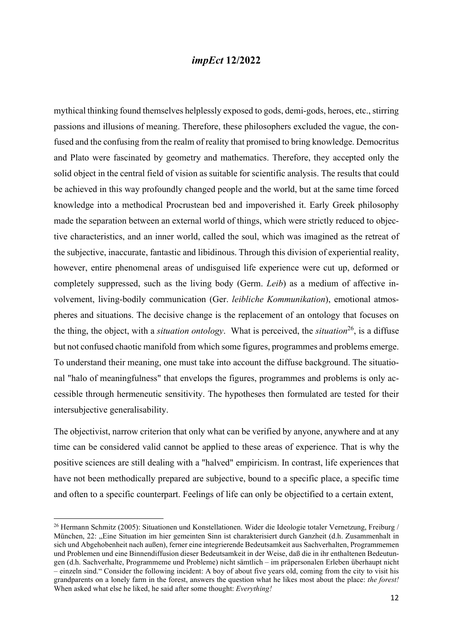mythical thinking found themselves helplessly exposed to gods, demi-gods, heroes, etc., stirring passions and illusions of meaning. Therefore, these philosophers excluded the vague, the confused and the confusing from the realm of reality that promised to bring knowledge. Democritus and Plato were fascinated by geometry and mathematics. Therefore, they accepted only the solid object in the central field of vision as suitable for scientific analysis. The results that could be achieved in this way profoundly changed people and the world, but at the same time forced knowledge into a methodical Procrustean bed and impoverished it. Early Greek philosophy made the separation between an external world of things, which were strictly reduced to objective characteristics, and an inner world, called the soul, which was imagined as the retreat of the subjective, inaccurate, fantastic and libidinous. Through this division of experiential reality, however, entire phenomenal areas of undisguised life experience were cut up, deformed or completely suppressed, such as the living body (Germ. Leib) as a medium of affective involvement, living-bodily communication (Ger. leibliche Kommunikation), emotional atmospheres and situations. The decisive change is the replacement of an ontology that focuses on the thing, the object, with a *situation ontology*. What is perceived, the *situation*<sup>26</sup>, is a diffuse but not confused chaotic manifold from which some figures, programmes and problems emerge. To understand their meaning, one must take into account the diffuse background. The situational "halo of meaningfulness" that envelops the figures, programmes and problems is only accessible through hermeneutic sensitivity. The hypotheses then formulated are tested for their intersubjective generalisability.

The objectivist, narrow criterion that only what can be verified by anyone, anywhere and at any time can be considered valid cannot be applied to these areas of experience. That is why the positive sciences are still dealing with a "halved" empiricism. In contrast, life experiences that have not been methodically prepared are subjective, bound to a specific place, a specific time and often to a specific counterpart. Feelings of life can only be objectified to a certain extent,

<sup>26</sup> Hermann Schmitz (2005): Situationen und Konstellationen. Wider die Ideologie totaler Vernetzung, Freiburg / München, 22: "Eine Situation im hier gemeinten Sinn ist charakterisiert durch Ganzheit (d.h. Zusammenhalt in sich und Abgehobenheit nach außen), ferner eine integrierende Bedeutsamkeit aus Sachverhalten, Programmemen und Problemen und eine Binnendiffusion dieser Bedeutsamkeit in der Weise, daß die in ihr enthaltenen Bedeutungen (d.h. Sachverhalte, Programmeme und Probleme) nicht sämtlich – im präpersonalen Erleben überhaupt nicht – einzeln sind." Consider the following incident: A boy of about five years old, coming from the city to visit his grandparents on a lonely farm in the forest, answers the question what he likes most about the place: the forest! When asked what else he liked, he said after some thought: *Everything!*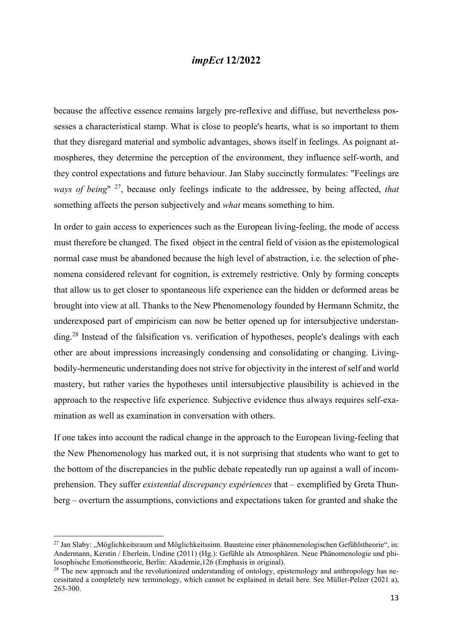because the affective essence remains largely pre-reflexive and diffuse, but nevertheless possesses a characteristical stamp. What is close to people's hearts, what is so important to them that they disregard material and symbolic advantages, shows itself in feelings. As poignant atmospheres, they determine the perception of the environment, they influence self-worth, and they control expectations and future behaviour. Jan Slaby succinctly formulates: "Feelings are ways of being"  $27$ , because only feelings indicate to the addressee, by being affected, that something affects the person subjectively and what means something to him.

In order to gain access to experiences such as the European living-feeling, the mode of access must therefore be changed. The fixed object in the central field of vision as the epistemological normal case must be abandoned because the high level of abstraction, i.e. the selection of phenomena considered relevant for cognition, is extremely restrictive. Only by forming concepts that allow us to get closer to spontaneous life experience can the hidden or deformed areas be brought into view at all. Thanks to the New Phenomenology founded by Hermann Schmitz, the underexposed part of empiricism can now be better opened up for intersubjective understanding.<sup>28</sup> Instead of the falsification vs. verification of hypotheses, people's dealings with each other are about impressions increasingly condensing and consolidating or changing. Livingbodily-hermeneutic understanding does not strive for objectivity in the interest of self and world mastery, but rather varies the hypotheses until intersubjective plausibility is achieved in the approach to the respective life experience. Subjective evidence thus always requires self-examination as well as examination in conversation with others.

If one takes into account the radical change in the approach to the European living-feeling that the New Phenomenology has marked out, it is not surprising that students who want to get to the bottom of the discrepancies in the public debate repeatedly run up against a wall of incomprehension. They suffer *existential discrepancy expériences* that – exemplified by Greta Thunberg – overturn the assumptions, convictions and expectations taken for granted and shake the

 $^{27}$  Jan Slaby: "Möglichkeitsraum und Möglichkeitssinn. Bausteine einer phänomenologischen Gefühlstheorie", in: Andermann, Kerstin / Eberlein, Undine (2011) (Hg.): Gefühle als Atmosphären. Neue Phänomenologie und philosophische Emotionstheorie, Berlin: Akademie,126 (Emphasis in original).

 $^{28}$  The new approach and the revolutionized understanding of ontology, epistemology and anthropology has necessitated a completely new terminology, which cannot be explained in detail here. See Müller-Pelzer (2021 a), 263-300.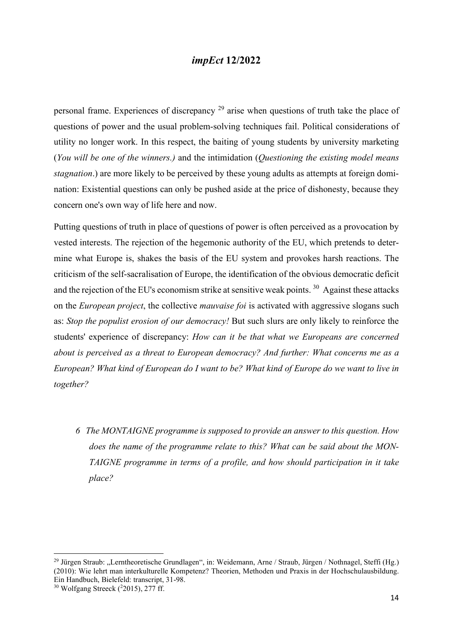personal frame. Experiences of discrepancy  $^{29}$  arise when questions of truth take the place of questions of power and the usual problem-solving techniques fail. Political considerations of utility no longer work. In this respect, the baiting of young students by university marketing (You will be one of the winners.) and the intimidation (Questioning the existing model means stagnation.) are more likely to be perceived by these young adults as attempts at foreign domination: Existential questions can only be pushed aside at the price of dishonesty, because they concern one's own way of life here and now.

Putting questions of truth in place of questions of power is often perceived as a provocation by vested interests. The rejection of the hegemonic authority of the EU, which pretends to determine what Europe is, shakes the basis of the EU system and provokes harsh reactions. The criticism of the self-sacralisation of Europe, the identification of the obvious democratic deficit and the rejection of the EU's economism strike at sensitive weak points.<sup>30</sup> Against these attacks on the *European project*, the collective *mauvaise foi* is activated with aggressive slogans such as: Stop the populist erosion of our democracy! But such slurs are only likely to reinforce the students' experience of discrepancy: How can it be that what we Europeans are concerned about is perceived as a threat to European democracy? And further: What concerns me as a European? What kind of European do I want to be? What kind of Europe do we want to live in together?

6 The MONTAIGNE programme is supposed to provide an answer to this question. How does the name of the programme relate to this? What can be said about the MON-TAIGNE programme in terms of a profile, and how should participation in it take place?

<sup>&</sup>lt;sup>29</sup> Jürgen Straub: "Lerntheoretische Grundlagen", in: Weidemann, Arne / Straub, Jürgen / Nothnagel, Steffi (Hg.) (2010): Wie lehrt man interkulturelle Kompetenz? Theorien, Methoden und Praxis in der Hochschulausbildung. Ein Handbuch, Bielefeld: transcript, 31-98.

 $30$  Wolfgang Streeck ( $2015$ ), 277 ff.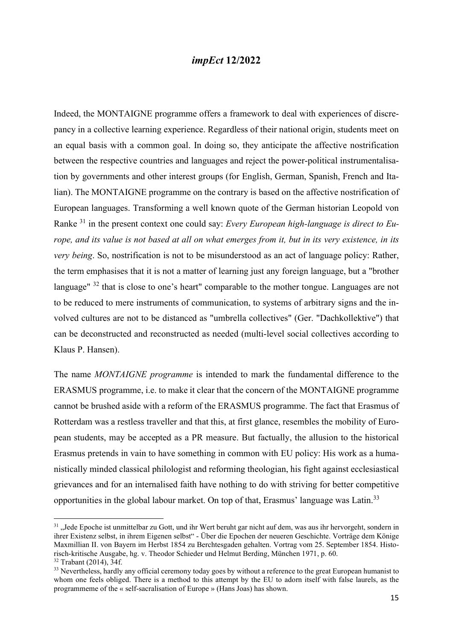Indeed, the MONTAIGNE programme offers a framework to deal with experiences of discrepancy in a collective learning experience. Regardless of their national origin, students meet on an equal basis with a common goal. In doing so, they anticipate the affective nostrification between the respective countries and languages and reject the power-political instrumentalisation by governments and other interest groups (for English, German, Spanish, French and Italian). The MONTAIGNE programme on the contrary is based on the affective nostrification of European languages. Transforming a well known quote of the German historian Leopold von Ranke  $31$  in the present context one could say: Every European high-language is direct to Europe, and its value is not based at all on what emerges from it, but in its very existence, in its very being. So, nostrification is not to be misunderstood as an act of language policy: Rather, the term emphasises that it is not a matter of learning just any foreign language, but a "brother language" <sup>32</sup> that is close to one's heart" comparable to the mother tongue. Languages are not to be reduced to mere instruments of communication, to systems of arbitrary signs and the involved cultures are not to be distanced as "umbrella collectives" (Ger. "Dachkollektive") that can be deconstructed and reconstructed as needed (multi-level social collectives according to Klaus P. Hansen).

The name *MONTAIGNE programme* is intended to mark the fundamental difference to the ERASMUS programme, i.e. to make it clear that the concern of the MONTAIGNE programme cannot be brushed aside with a reform of the ERASMUS programme. The fact that Erasmus of Rotterdam was a restless traveller and that this, at first glance, resembles the mobility of European students, may be accepted as a PR measure. But factually, the allusion to the historical Erasmus pretends in vain to have something in common with EU policy: His work as a humanistically minded classical philologist and reforming theologian, his fight against ecclesiastical grievances and for an internalised faith have nothing to do with striving for better competitive opportunities in the global labour market. On top of that, Erasmus' language was Latin.<sup>33</sup>

<sup>&</sup>lt;sup>31</sup> "Jede Epoche ist unmittelbar zu Gott, und ihr Wert beruht gar nicht auf dem, was aus ihr hervorgeht, sondern in ihrer Existenz selbst, in ihrem Eigenen selbst" - Über die Epochen der neueren Geschichte. Vorträge dem Könige Maxmillian II. von Bayern im Herbst 1854 zu Berchtesgaden gehalten. Vortrag vom 25. September 1854. Historisch-kritische Ausgabe, hg. v. Theodor Schieder und Helmut Berding, München 1971, p. 60.

<sup>32</sup> Trabant (2014), 34f.

<sup>&</sup>lt;sup>33</sup> Nevertheless, hardly any official ceremony today goes by without a reference to the great European humanist to whom one feels obliged. There is a method to this attempt by the EU to adorn itself with false laurels, as the programmeme of the « self-sacralisation of Europe » (Hans Joas) has shown.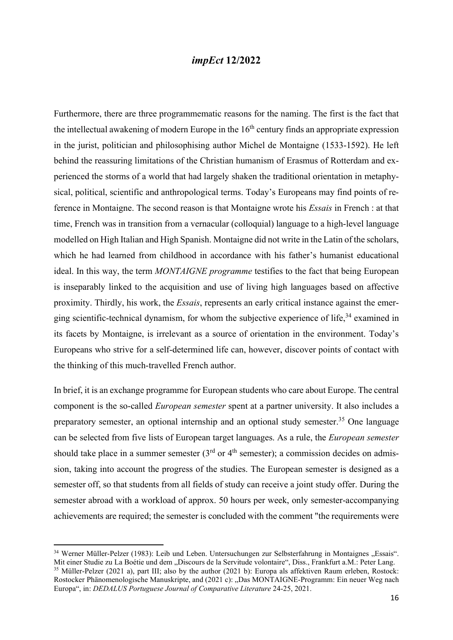Furthermore, there are three programmematic reasons for the naming. The first is the fact that the intellectual awakening of modern Europe in the  $16<sup>th</sup>$  century finds an appropriate expression in the jurist, politician and philosophising author Michel de Montaigne (1533-1592). He left behind the reassuring limitations of the Christian humanism of Erasmus of Rotterdam and experienced the storms of a world that had largely shaken the traditional orientation in metaphysical, political, scientific and anthropological terms. Today's Europeans may find points of reference in Montaigne. The second reason is that Montaigne wrote his Essais in French : at that time, French was in transition from a vernacular (colloquial) language to a high-level language modelled on High Italian and High Spanish. Montaigne did not write in the Latin of the scholars, which he had learned from childhood in accordance with his father's humanist educational ideal. In this way, the term *MONTAIGNE programme* testifies to the fact that being European is inseparably linked to the acquisition and use of living high languages based on affective proximity. Thirdly, his work, the Essais, represents an early critical instance against the emerging scientific-technical dynamism, for whom the subjective experience of life,  $34$  examined in its facets by Montaigne, is irrelevant as a source of orientation in the environment. Today's Europeans who strive for a self-determined life can, however, discover points of contact with the thinking of this much-travelled French author.

In brief, it is an exchange programme for European students who care about Europe. The central component is the so-called European semester spent at a partner university. It also includes a preparatory semester, an optional internship and an optional study semester.<sup>35</sup> One language can be selected from five lists of European target languages. As a rule, the European semester should take place in a summer semester  $(3<sup>rd</sup>$  or  $4<sup>th</sup>$  semester); a commission decides on admission, taking into account the progress of the studies. The European semester is designed as a semester off, so that students from all fields of study can receive a joint study offer. During the semester abroad with a workload of approx. 50 hours per week, only semester-accompanying achievements are required; the semester is concluded with the comment "the requirements were

<sup>&</sup>lt;sup>34</sup> Werner Müller-Pelzer (1983): Leib und Leben. Untersuchungen zur Selbsterfahrung in Montaignes "Essais". Mit einer Studie zu La Boétie und dem "Discours de la Servitude volontaire", Diss., Frankfurt a.M.: Peter Lang.

<sup>&</sup>lt;sup>35</sup> Müller-Pelzer (2021 a), part III; also by the author (2021 b): Europa als affektiven Raum erleben, Rostock: Rostocker Phänomenologische Manuskripte, and (2021 c): "Das MONTAIGNE-Programm: Ein neuer Weg nach Europa", in: DEDALUS Portuguese Journal of Comparative Literature 24-25, 2021.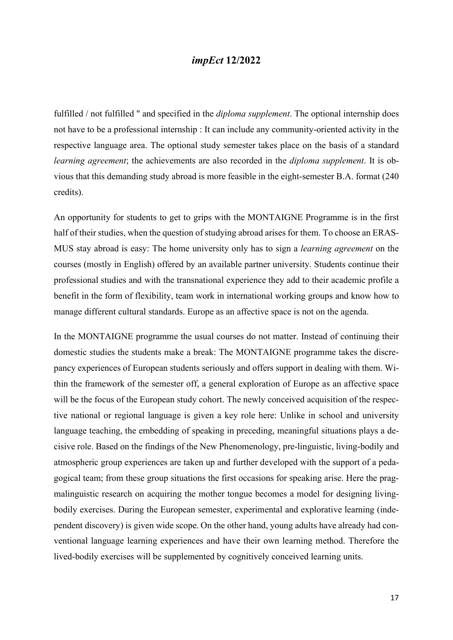fulfilled / not fulfilled " and specified in the *diploma supplement*. The optional internship does not have to be a professional internship : It can include any community-oriented activity in the respective language area. The optional study semester takes place on the basis of a standard learning agreement; the achievements are also recorded in the *diploma supplement*. It is obvious that this demanding study abroad is more feasible in the eight-semester B.A. format (240 credits).

An opportunity for students to get to grips with the MONTAIGNE Programme is in the first half of their studies, when the question of studying abroad arises for them. To choose an ERAS-MUS stay abroad is easy: The home university only has to sign a learning agreement on the courses (mostly in English) offered by an available partner university. Students continue their professional studies and with the transnational experience they add to their academic profile a benefit in the form of flexibility, team work in international working groups and know how to manage different cultural standards. Europe as an affective space is not on the agenda.

In the MONTAIGNE programme the usual courses do not matter. Instead of continuing their domestic studies the students make a break: The MONTAIGNE programme takes the discrepancy experiences of European students seriously and offers support in dealing with them. Within the framework of the semester off, a general exploration of Europe as an affective space will be the focus of the European study cohort. The newly conceived acquisition of the respective national or regional language is given a key role here: Unlike in school and university language teaching, the embedding of speaking in preceding, meaningful situations plays a decisive role. Based on the findings of the New Phenomenology, pre-linguistic, living-bodily and atmospheric group experiences are taken up and further developed with the support of a pedagogical team; from these group situations the first occasions for speaking arise. Here the pragmalinguistic research on acquiring the mother tongue becomes a model for designing livingbodily exercises. During the European semester, experimental and explorative learning (independent discovery) is given wide scope. On the other hand, young adults have already had conventional language learning experiences and have their own learning method. Therefore the lived-bodily exercises will be supplemented by cognitively conceived learning units.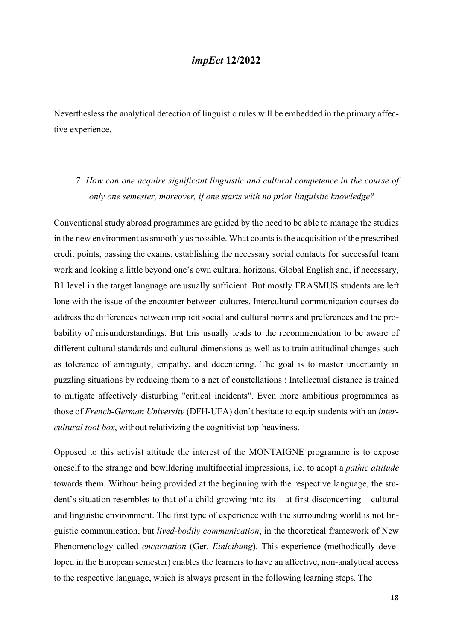Neverthesless the analytical detection of linguistic rules will be embedded in the primary affective experience.

7 How can one acquire significant linguistic and cultural competence in the course of only one semester, moreover, if one starts with no prior linguistic knowledge?

Conventional study abroad programmes are guided by the need to be able to manage the studies in the new environment as smoothly as possible. What counts is the acquisition of the prescribed credit points, passing the exams, establishing the necessary social contacts for successful team work and looking a little beyond one's own cultural horizons. Global English and, if necessary, B1 level in the target language are usually sufficient. But mostly ERASMUS students are left lone with the issue of the encounter between cultures. Intercultural communication courses do address the differences between implicit social and cultural norms and preferences and the probability of misunderstandings. But this usually leads to the recommendation to be aware of different cultural standards and cultural dimensions as well as to train attitudinal changes such as tolerance of ambiguity, empathy, and decentering. The goal is to master uncertainty in puzzling situations by reducing them to a net of constellations : Intellectual distance is trained to mitigate affectively disturbing "critical incidents". Even more ambitious programmes as those of French-German University (DFH-UFA) don't hesitate to equip students with an intercultural tool box, without relativizing the cognitivist top-heaviness.

Opposed to this activist attitude the interest of the MONTAIGNE programme is to expose oneself to the strange and bewildering multifacetial impressions, i.e. to adopt a pathic attitude towards them. Without being provided at the beginning with the respective language, the student's situation resembles to that of a child growing into its – at first disconcerting – cultural and linguistic environment. The first type of experience with the surrounding world is not linguistic communication, but lived-bodily communication, in the theoretical framework of New Phenomenology called *encarnation* (Ger. *Einleibung*). This experience (methodically developed in the European semester) enables the learners to have an affective, non-analytical access to the respective language, which is always present in the following learning steps. The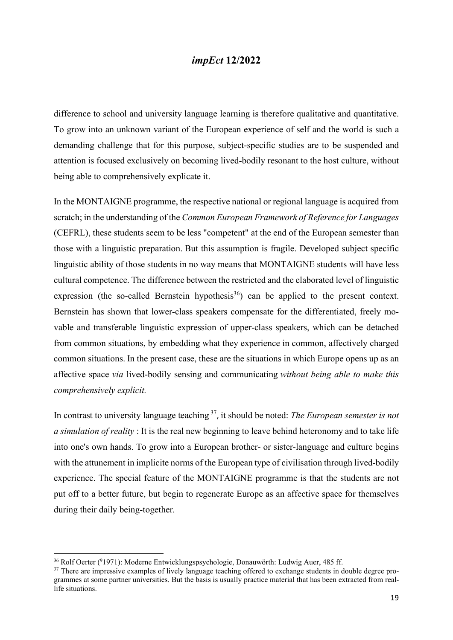difference to school and university language learning is therefore qualitative and quantitative. To grow into an unknown variant of the European experience of self and the world is such a demanding challenge that for this purpose, subject-specific studies are to be suspended and attention is focused exclusively on becoming lived-bodily resonant to the host culture, without being able to comprehensively explicate it.

In the MONTAIGNE programme, the respective national or regional language is acquired from scratch; in the understanding of the Common European Framework of Reference for Languages (CEFRL), these students seem to be less "competent" at the end of the European semester than those with a linguistic preparation. But this assumption is fragile. Developed subject specific linguistic ability of those students in no way means that MONTAIGNE students will have less cultural competence. The difference between the restricted and the elaborated level of linguistic expression (the so-called Bernstein hypothesis<sup>36</sup>) can be applied to the present context. Bernstein has shown that lower-class speakers compensate for the differentiated, freely movable and transferable linguistic expression of upper-class speakers, which can be detached from common situations, by embedding what they experience in common, affectively charged common situations. In the present case, these are the situations in which Europe opens up as an affective space via lived-bodily sensing and communicating without being able to make this comprehensively explicit.

In contrast to university language teaching  $37$ , it should be noted: The European semester is not a simulation of reality : It is the real new beginning to leave behind heteronomy and to take life into one's own hands. To grow into a European brother- or sister-language and culture begins with the attunement in implicite norms of the European type of civilisation through lived-bodily experience. The special feature of the MONTAIGNE programme is that the students are not put off to a better future, but begin to regenerate Europe as an affective space for themselves during their daily being-together.

<sup>&</sup>lt;sup>36</sup> Rolf Oerter (<sup>9</sup>1971): Moderne Entwicklungspsychologie, Donauwörth: Ludwig Auer, 485 ff.

<sup>&</sup>lt;sup>37</sup> There are impressive examples of lively language teaching offered to exchange students in double degree programmes at some partner universities. But the basis is usually practice material that has been extracted from reallife situations.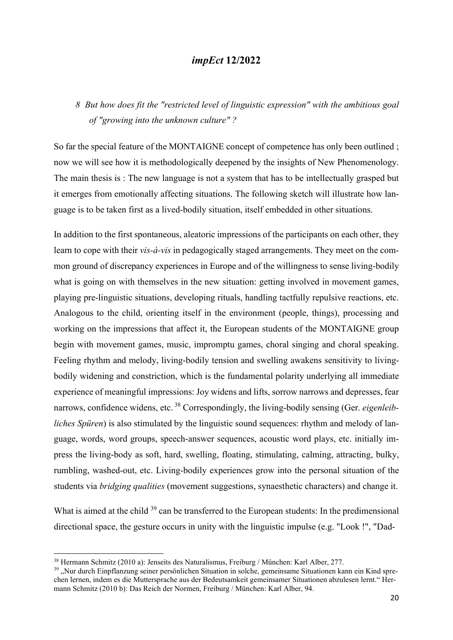## 8 But how does fit the "restricted level of linguistic expression" with the ambitious goal of "growing into the unknown culture" ?

So far the special feature of the MONTAIGNE concept of competence has only been outlined ; now we will see how it is methodologically deepened by the insights of New Phenomenology. The main thesis is : The new language is not a system that has to be intellectually grasped but it emerges from emotionally affecting situations. The following sketch will illustrate how language is to be taken first as a lived-bodily situation, itself embedded in other situations.

In addition to the first spontaneous, aleatoric impressions of the participants on each other, they learn to cope with their *vis-à-vis* in pedagogically staged arrangements. They meet on the common ground of discrepancy experiences in Europe and of the willingness to sense living-bodily what is going on with themselves in the new situation: getting involved in movement games, playing pre-linguistic situations, developing rituals, handling tactfully repulsive reactions, etc. Analogous to the child, orienting itself in the environment (people, things), processing and working on the impressions that affect it, the European students of the MONTAIGNE group begin with movement games, music, impromptu games, choral singing and choral speaking. Feeling rhythm and melody, living-bodily tension and swelling awakens sensitivity to livingbodily widening and constriction, which is the fundamental polarity underlying all immediate experience of meaningful impressions: Joy widens and lifts, sorrow narrows and depresses, fear narrows, confidence widens, etc.<sup>38</sup> Correspondingly, the living-bodily sensing (Ger. *eigenleib*liches Spüren) is also stimulated by the linguistic sound sequences: rhythm and melody of language, words, word groups, speech-answer sequences, acoustic word plays, etc. initially impress the living-body as soft, hard, swelling, floating, stimulating, calming, attracting, bulky, rumbling, washed-out, etc. Living-bodily experiences grow into the personal situation of the students via *bridging qualities* (movement suggestions, synaesthetic characters) and change it.

What is aimed at the child <sup>39</sup> can be transferred to the European students: In the predimensional directional space, the gesture occurs in unity with the linguistic impulse (e.g. "Look !", "Dad-

<sup>38</sup> Hermann Schmitz (2010 a): Jenseits des Naturalismus, Freiburg / München: Karl Alber, 277.

<sup>&</sup>lt;sup>39</sup> "Nur durch Einpflanzung seiner persönlichen Situation in solche, gemeinsame Situationen kann ein Kind sprechen lernen, indem es die Muttersprache aus der Bedeutsamkeit gemeinsamer Situationen abzulesen lernt." Hermann Schmitz (2010 b): Das Reich der Normen, Freiburg / München: Karl Alber, 94.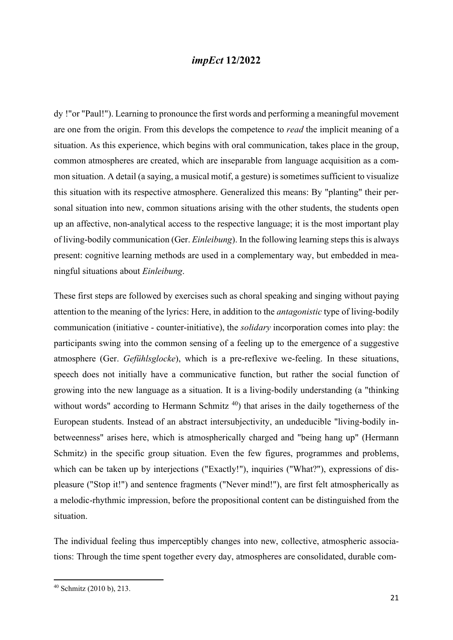dy !"or "Paul!"). Learning to pronounce the first words and performing a meaningful movement are one from the origin. From this develops the competence to read the implicit meaning of a situation. As this experience, which begins with oral communication, takes place in the group, common atmospheres are created, which are inseparable from language acquisition as a common situation. A detail (a saying, a musical motif, a gesture) is sometimes sufficient to visualize this situation with its respective atmosphere. Generalized this means: By "planting" their personal situation into new, common situations arising with the other students, the students open up an affective, non-analytical access to the respective language; it is the most important play of living-bodily communication (Ger. Einleibung). In the following learning steps this is always present: cognitive learning methods are used in a complementary way, but embedded in meaningful situations about Einleibung.

These first steps are followed by exercises such as choral speaking and singing without paying attention to the meaning of the lyrics: Here, in addition to the antagonistic type of living-bodily communication (initiative - counter-initiative), the solidary incorporation comes into play: the participants swing into the common sensing of a feeling up to the emergence of a suggestive atmosphere (Ger. Gefühlsglocke), which is a pre-reflexive we-feeling. In these situations, speech does not initially have a communicative function, but rather the social function of growing into the new language as a situation. It is a living-bodily understanding (a "thinking without words" according to Hermann Schmitz<sup>40</sup>) that arises in the daily togetherness of the European students. Instead of an abstract intersubjectivity, an undeducible "living-bodily inbetweenness" arises here, which is atmospherically charged and "being hang up" (Hermann Schmitz) in the specific group situation. Even the few figures, programmes and problems, which can be taken up by interjections ("Exactly!"), inquiries ("What?"), expressions of displeasure ("Stop it!") and sentence fragments ("Never mind!"), are first felt atmospherically as a melodic-rhythmic impression, before the propositional content can be distinguished from the situation.

The individual feeling thus imperceptibly changes into new, collective, atmospheric associations: Through the time spent together every day, atmospheres are consolidated, durable com-

<sup>40</sup> Schmitz (2010 b), 213.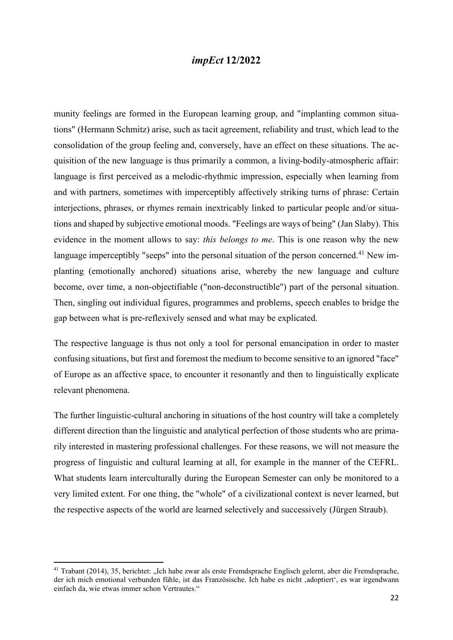munity feelings are formed in the European learning group, and "implanting common situations" (Hermann Schmitz) arise, such as tacit agreement, reliability and trust, which lead to the consolidation of the group feeling and, conversely, have an effect on these situations. The acquisition of the new language is thus primarily a common, a living-bodily-atmospheric affair: language is first perceived as a melodic-rhythmic impression, especially when learning from and with partners, sometimes with imperceptibly affectively striking turns of phrase: Certain interjections, phrases, or rhymes remain inextricably linked to particular people and/or situations and shaped by subjective emotional moods. "Feelings are ways of being" (Jan Slaby). This evidence in the moment allows to say: *this belongs to me*. This is one reason why the new language imperceptibly "seeps" into the personal situation of the person concerned.<sup>41</sup> New implanting (emotionally anchored) situations arise, whereby the new language and culture become, over time, a non-objectifiable ("non-deconstructible") part of the personal situation. Then, singling out individual figures, programmes and problems, speech enables to bridge the gap between what is pre-reflexively sensed and what may be explicated.

The respective language is thus not only a tool for personal emancipation in order to master confusing situations, but first and foremost the medium to become sensitive to an ignored "face" of Europe as an affective space, to encounter it resonantly and then to linguistically explicate relevant phenomena.

The further linguistic-cultural anchoring in situations of the host country will take a completely different direction than the linguistic and analytical perfection of those students who are primarily interested in mastering professional challenges. For these reasons, we will not measure the progress of linguistic and cultural learning at all, for example in the manner of the CEFRL. What students learn interculturally during the European Semester can only be monitored to a very limited extent. For one thing, the "whole" of a civilizational context is never learned, but the respective aspects of the world are learned selectively and successively (Jürgen Straub).

<sup>&</sup>lt;sup>41</sup> Trabant (2014), 35, berichtet: "Ich habe zwar als erste Fremdsprache Englisch gelernt, aber die Fremdsprache, der ich mich emotional verbunden fühle, ist das Französische. Ich habe es nicht 'adoptiert', es war irgendwann einfach da, wie etwas immer schon Vertrautes."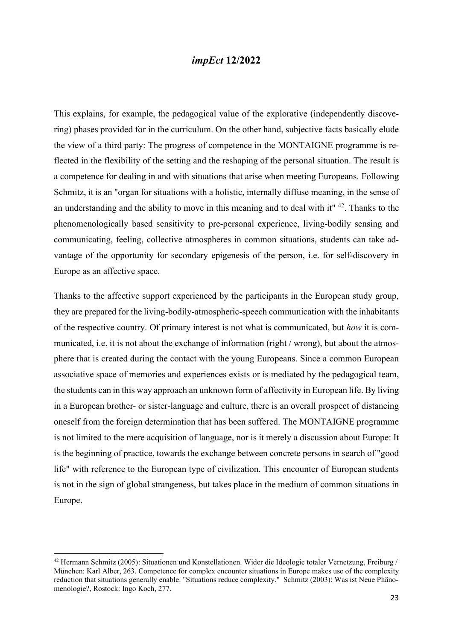This explains, for example, the pedagogical value of the explorative (independently discovering) phases provided for in the curriculum. On the other hand, subjective facts basically elude the view of a third party: The progress of competence in the MONTAIGNE programme is reflected in the flexibility of the setting and the reshaping of the personal situation. The result is a competence for dealing in and with situations that arise when meeting Europeans. Following Schmitz, it is an "organ for situations with a holistic, internally diffuse meaning, in the sense of an understanding and the ability to move in this meaning and to deal with it"  $42$ . Thanks to the phenomenologically based sensitivity to pre-personal experience, living-bodily sensing and communicating, feeling, collective atmospheres in common situations, students can take advantage of the opportunity for secondary epigenesis of the person, i.e. for self-discovery in Europe as an affective space.

Thanks to the affective support experienced by the participants in the European study group, they are prepared for the living-bodily-atmospheric-speech communication with the inhabitants of the respective country. Of primary interest is not what is communicated, but how it is communicated, i.e. it is not about the exchange of information (right / wrong), but about the atmosphere that is created during the contact with the young Europeans. Since a common European associative space of memories and experiences exists or is mediated by the pedagogical team, the students can in this way approach an unknown form of affectivity in European life. By living in a European brother- or sister-language and culture, there is an overall prospect of distancing oneself from the foreign determination that has been suffered. The MONTAIGNE programme is not limited to the mere acquisition of language, nor is it merely a discussion about Europe: It is the beginning of practice, towards the exchange between concrete persons in search of "good life" with reference to the European type of civilization. This encounter of European students is not in the sign of global strangeness, but takes place in the medium of common situations in Europe.

<sup>42</sup> Hermann Schmitz (2005): Situationen und Konstellationen. Wider die Ideologie totaler Vernetzung, Freiburg / München: Karl Alber, 263. Competence for complex encounter situations in Europe makes use of the complexity reduction that situations generally enable. "Situations reduce complexity." Schmitz (2003): Was ist Neue Phänomenologie?, Rostock: Ingo Koch, 277.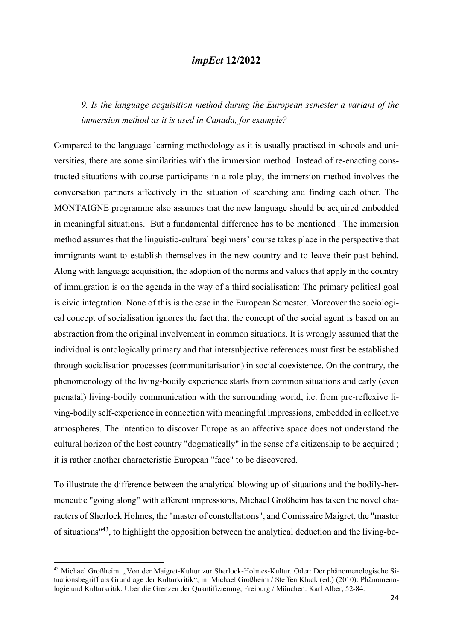9. Is the language acquisition method during the European semester a variant of the immersion method as it is used in Canada, for example?

Compared to the language learning methodology as it is usually practised in schools and universities, there are some similarities with the immersion method. Instead of re-enacting constructed situations with course participants in a role play, the immersion method involves the conversation partners affectively in the situation of searching and finding each other. The MONTAIGNE programme also assumes that the new language should be acquired embedded in meaningful situations. But a fundamental difference has to be mentioned : The immersion method assumes that the linguistic-cultural beginners' course takes place in the perspective that immigrants want to establish themselves in the new country and to leave their past behind. Along with language acquisition, the adoption of the norms and values that apply in the country of immigration is on the agenda in the way of a third socialisation: The primary political goal is civic integration. None of this is the case in the European Semester. Moreover the sociological concept of socialisation ignores the fact that the concept of the social agent is based on an abstraction from the original involvement in common situations. It is wrongly assumed that the individual is ontologically primary and that intersubjective references must first be established through socialisation processes (communitarisation) in social coexistence. On the contrary, the phenomenology of the living-bodily experience starts from common situations and early (even prenatal) living-bodily communication with the surrounding world, i.e. from pre-reflexive living-bodily self-experience in connection with meaningful impressions, embedded in collective atmospheres. The intention to discover Europe as an affective space does not understand the cultural horizon of the host country "dogmatically" in the sense of a citizenship to be acquired ; it is rather another characteristic European "face" to be discovered.

To illustrate the difference between the analytical blowing up of situations and the bodily-hermeneutic "going along" with afferent impressions, Michael Großheim has taken the novel characters of Sherlock Holmes, the "master of constellations", and Comissaire Maigret, the "master of situations"<sup>43</sup>, to highlight the opposition between the analytical deduction and the living-bo-

<sup>&</sup>lt;sup>43</sup> Michael Großheim: "Von der Maigret-Kultur zur Sherlock-Holmes-Kultur. Oder: Der phänomenologische Situationsbegriff als Grundlage der Kulturkritik", in: Michael Großheim / Steffen Kluck (ed.) (2010): Phänomenologie und Kulturkritik. Über die Grenzen der Quantifizierung, Freiburg / München: Karl Alber, 52-84.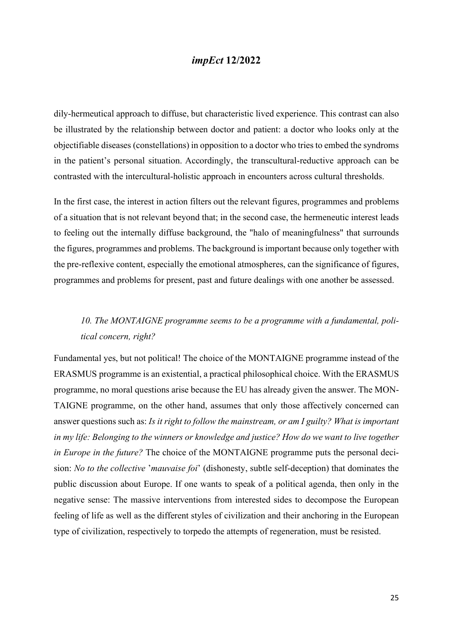dily-hermeutical approach to diffuse, but characteristic lived experience. This contrast can also be illustrated by the relationship between doctor and patient: a doctor who looks only at the objectifiable diseases (constellations) in opposition to a doctor who tries to embed the syndroms in the patient's personal situation. Accordingly, the transcultural-reductive approach can be contrasted with the intercultural-holistic approach in encounters across cultural thresholds.

In the first case, the interest in action filters out the relevant figures, programmes and problems of a situation that is not relevant beyond that; in the second case, the hermeneutic interest leads to feeling out the internally diffuse background, the "halo of meaningfulness" that surrounds the figures, programmes and problems. The background is important because only together with the pre-reflexive content, especially the emotional atmospheres, can the significance of figures, programmes and problems for present, past and future dealings with one another be assessed.

# 10. The MONTAIGNE programme seems to be a programme with a fundamental, political concern, right?

Fundamental yes, but not political! The choice of the MONTAIGNE programme instead of the ERASMUS programme is an existential, a practical philosophical choice. With the ERASMUS programme, no moral questions arise because the EU has already given the answer. The MON-TAIGNE programme, on the other hand, assumes that only those affectively concerned can answer questions such as: Is it right to follow the mainstream, or am I guilty? What is important in my life: Belonging to the winners or knowledge and justice? How do we want to live together in Europe in the future? The choice of the MONTAIGNE programme puts the personal decision: No to the collective 'mauvaise foi' (dishonesty, subtle self-deception) that dominates the public discussion about Europe. If one wants to speak of a political agenda, then only in the negative sense: The massive interventions from interested sides to decompose the European feeling of life as well as the different styles of civilization and their anchoring in the European type of civilization, respectively to torpedo the attempts of regeneration, must be resisted.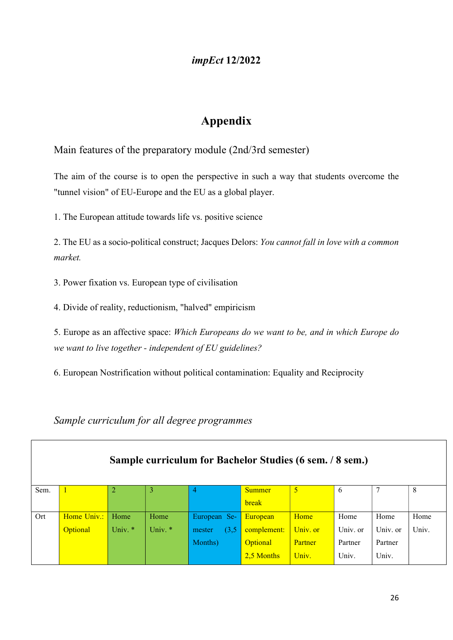# Appendix

Main features of the preparatory module (2nd/3rd semester)

The aim of the course is to open the perspective in such a way that students overcome the "tunnel vision" of EU-Europe and the EU as a global player.

1. The European attitude towards life vs. positive science

2. The EU as a socio-political construct; Jacques Delors: You cannot fall in love with a common market.

3. Power fixation vs. European type of civilisation

4. Divide of reality, reductionism, "halved" empiricism

5. Europe as an affective space: Which Europeans do we want to be, and in which Europe do we want to live together - independent of EU guidelines?

6. European Nostrification without political contamination: Equality and Reciprocity

### Sample curriculum for all degree programmes

 $\sqrt{ }$ 

|      | Sample curriculum for Bachelor Studies (6 sem. / 8 sem.) |         |         |                 |               |          |          |          |       |
|------|----------------------------------------------------------|---------|---------|-----------------|---------------|----------|----------|----------|-------|
| Sem. |                                                          |         | 3       | 4               | <b>Summer</b> |          | 6        | Ξ        | 8     |
|      |                                                          |         |         |                 | break         |          |          |          |       |
| Ort  | Home Univ.:                                              | Home    | Home    | European Se-    | European      | Home     | Home     | Home     | Home  |
|      | <b>Optional</b>                                          | Univ. * | Univ. * | (3,5)<br>mester | complement:   | Univ. or | Univ. or | Univ. or | Univ. |
|      |                                                          |         |         | Months)         | Optional      | Partner  | Partner  | Partner  |       |
|      |                                                          |         |         |                 | 2,5 Months    | Univ.    | Univ.    | Univ.    |       |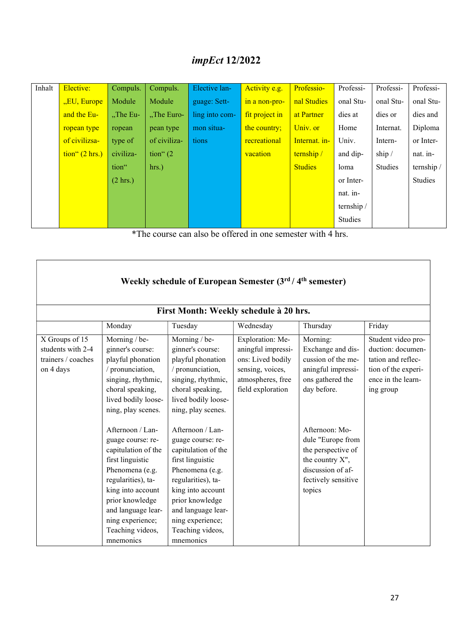| Inhalt | Elective:                                                 | Compuls.           | Compuls.     | Elective lan-  | Activity e.g.  | Professio-     | Professi-  | Professi- | Professi-  |
|--------|-----------------------------------------------------------|--------------------|--------------|----------------|----------------|----------------|------------|-----------|------------|
|        | "EU, Europe                                               | Module             | Module       | guage: Sett-   | in a non-pro-  | nal Studies    | onal Stu-  | onal Stu- | onal Stu-  |
|        | and the Eu-                                               | $,$ The Eu-        | "The Euro-   | ling into com- | fit project in | at Partner     | dies at    | dies or   | dies and   |
|        | ropean type                                               | ropean             | pean type    | mon situa-     | the country;   | Univ. or       | Home       | Internat. | Diploma    |
|        | of civilizsa-                                             | type of            | of civiliza- | tions          | recreational   | Internat. in-  | Univ.      | Intern-   | or Inter-  |
|        | $\frac{\text{tion}^{4}(2 \text{ hrs.})}{\text{time}^{2}}$ | civiliza-          | tion" $(2)$  |                | vacation       | ternship /     | and dip-   | ship/     | nat. in-   |
|        |                                                           | tion"              | hrs.         |                |                | <b>Studies</b> | loma       | Studies   | ternship / |
|        |                                                           | $(2 \text{ hrs.})$ |              |                |                |                | or Inter-  |           | Studies    |
|        |                                                           |                    |              |                |                |                | nat. in-   |           |            |
|        |                                                           |                    |              |                |                |                | ternship / |           |            |
|        |                                                           |                    |              |                |                |                | Studies    |           |            |

\*The course can also be offered in one semester with 4 hrs.

| Weekly schedule of European Semester (3rd / 4th semester)<br>First Month: Weekly schedule à 20 hrs. |                                                                                                                                                                                                                                                                                                                                                                                                                     |                                                                                                                                                                                                                                                                                                                                                                                                                   |                                                                                                                           |                                                                                                                                                                                                                                                    |                                                                                                                         |  |  |  |  |
|-----------------------------------------------------------------------------------------------------|---------------------------------------------------------------------------------------------------------------------------------------------------------------------------------------------------------------------------------------------------------------------------------------------------------------------------------------------------------------------------------------------------------------------|-------------------------------------------------------------------------------------------------------------------------------------------------------------------------------------------------------------------------------------------------------------------------------------------------------------------------------------------------------------------------------------------------------------------|---------------------------------------------------------------------------------------------------------------------------|----------------------------------------------------------------------------------------------------------------------------------------------------------------------------------------------------------------------------------------------------|-------------------------------------------------------------------------------------------------------------------------|--|--|--|--|
|                                                                                                     | Monday                                                                                                                                                                                                                                                                                                                                                                                                              | Tuesday                                                                                                                                                                                                                                                                                                                                                                                                           | Wednesday                                                                                                                 | Thursday                                                                                                                                                                                                                                           | Friday                                                                                                                  |  |  |  |  |
| X Groups of 15<br>students with 2-4<br>trainers / coaches<br>on 4 days                              | Morning / be-<br>ginner's course:<br>playful phonation<br>/ pronunciation,<br>singing, rhythmic,<br>choral speaking,<br>lived bodily loose-<br>ning, play scenes.<br>Afternoon $/$ Lan-<br>guage course: re-<br>capitulation of the<br>first linguistic<br>Phenomena (e.g.<br>regularities), ta-<br>king into account<br>prior knowledge<br>and language lear-<br>ning experience;<br>Teaching videos,<br>mnemonics | Morning / be-<br>ginner's course:<br>playful phonation<br>/ pronunciation,<br>singing, rhythmic,<br>choral speaking,<br>lived bodily loose-<br>ning, play scenes.<br>Afternoon / Lan-<br>guage course: re-<br>capitulation of the<br>first linguistic<br>Phenomena (e.g.<br>regularities), ta-<br>king into account<br>prior knowledge<br>and language lear-<br>ning experience;<br>Teaching videos,<br>mnemonics | Exploration: Me-<br>aningful impressi-<br>ons: Lived bodily<br>sensing, voices,<br>atmospheres, free<br>field exploration | Morning:<br>Exchange and dis-<br>cussion of the me-<br>aningful impressi-<br>ons gathered the<br>day before.<br>Afternoon: Mo-<br>dule "Europe from<br>the perspective of<br>the country X",<br>discussion of af-<br>fectively sensitive<br>topics | Student video pro-<br>duction: documen-<br>tation and reflec-<br>tion of the experi-<br>ence in the learn-<br>ing group |  |  |  |  |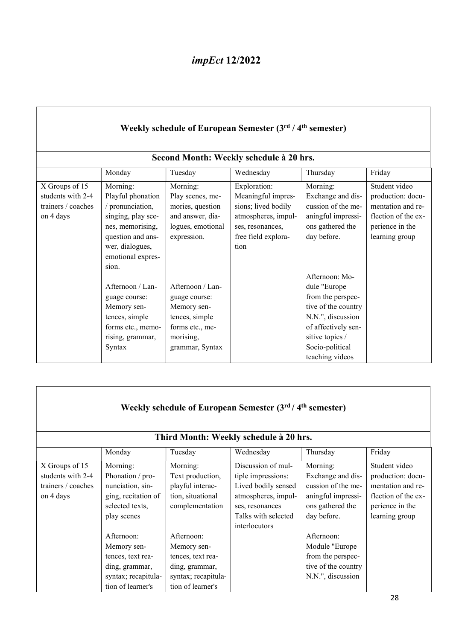| Weekly schedule of European Semester (3rd / 4 <sup>th</sup> semester)<br>Second Month: Weekly schedule à 20 hrs. |                                                                                                                                                                   |                                                                                                                       |                                                                                                                                     |                                                                                                                                                               |                                                                                                                     |  |  |  |  |  |
|------------------------------------------------------------------------------------------------------------------|-------------------------------------------------------------------------------------------------------------------------------------------------------------------|-----------------------------------------------------------------------------------------------------------------------|-------------------------------------------------------------------------------------------------------------------------------------|---------------------------------------------------------------------------------------------------------------------------------------------------------------|---------------------------------------------------------------------------------------------------------------------|--|--|--|--|--|
|                                                                                                                  | Thursday<br>Friday<br>Monday<br>Tuesday<br>Wednesday                                                                                                              |                                                                                                                       |                                                                                                                                     |                                                                                                                                                               |                                                                                                                     |  |  |  |  |  |
| X Groups of 15<br>students with 2-4<br>trainers / coaches<br>on 4 days                                           | Morning:<br>Playful phonation<br>/ pronunciation,<br>singing, play sce-<br>nes, memorising,<br>question and ans-<br>wer, dialogues,<br>emotional expres-<br>sion. | Morning:<br>Play scenes, me-<br>mories, question<br>and answer, dia-<br>logues, emotional<br>expression.              | Exploration:<br>Meaningful impres-<br>sions; lived bodily<br>atmospheres, impul-<br>ses, resonances,<br>free field explora-<br>tion | Morning:<br>Exchange and dis-<br>cussion of the me-<br>aningful impressi-<br>ons gathered the<br>day before.<br>Afternoon: Mo-                                | Student video<br>production: docu-<br>mentation and re-<br>flection of the ex-<br>perience in the<br>learning group |  |  |  |  |  |
|                                                                                                                  | Afternoon / Lan-<br>guage course:<br>Memory sen-<br>tences, simple<br>forms etc., memo-<br>rising, grammar,<br>Syntax                                             | Afternoon / Lan-<br>guage course:<br>Memory sen-<br>tences, simple<br>forms etc., me-<br>morising,<br>grammar, Syntax |                                                                                                                                     | dule "Europe<br>from the perspec-<br>tive of the country<br>N.N.", discussion<br>of affectively sen-<br>sitive topics /<br>Socio-political<br>teaching videos |                                                                                                                     |  |  |  |  |  |

| Weekly schedule of European Semester (3rd / 4 <sup>th</sup> semester)  |                                                                                                              |                                                                                                              |                                                                                                                                                   |                                                                                                              |                                                                                                                     |  |  |  |  |  |  |
|------------------------------------------------------------------------|--------------------------------------------------------------------------------------------------------------|--------------------------------------------------------------------------------------------------------------|---------------------------------------------------------------------------------------------------------------------------------------------------|--------------------------------------------------------------------------------------------------------------|---------------------------------------------------------------------------------------------------------------------|--|--|--|--|--|--|
|                                                                        | Third Month: Weekly schedule à 20 hrs.                                                                       |                                                                                                              |                                                                                                                                                   |                                                                                                              |                                                                                                                     |  |  |  |  |  |  |
|                                                                        | Friday<br>Monday<br>Wednesday<br>Thursday<br>Tuesday                                                         |                                                                                                              |                                                                                                                                                   |                                                                                                              |                                                                                                                     |  |  |  |  |  |  |
| X Groups of 15<br>students with 2-4<br>trainers / coaches<br>on 4 days | Morning:<br>Phonation / pro-<br>nunciation, sin-<br>ging, recitation of<br>selected texts,<br>play scenes    | Morning:<br>Text production,<br>playful interac-<br>tion, situational<br>complementation                     | Discussion of mul-<br>tiple impressions:<br>Lived bodily sensed<br>atmospheres, impul-<br>ses, resonances<br>Talks with selected<br>interlocutors | Morning:<br>Exchange and dis-<br>cussion of the me-<br>aningful impressi-<br>ons gathered the<br>day before. | Student video<br>production: docu-<br>mentation and re-<br>flection of the ex-<br>perience in the<br>learning group |  |  |  |  |  |  |
|                                                                        | Afternoon:<br>Memory sen-<br>tences, text rea-<br>ding, grammar,<br>syntax; recapitula-<br>tion of learner's | Afternoon:<br>Memory sen-<br>tences, text rea-<br>ding, grammar,<br>syntax; recapitula-<br>tion of learner's |                                                                                                                                                   | Afternoon:<br>Module "Europe<br>from the perspec-<br>tive of the country<br>N.N.", discussion                |                                                                                                                     |  |  |  |  |  |  |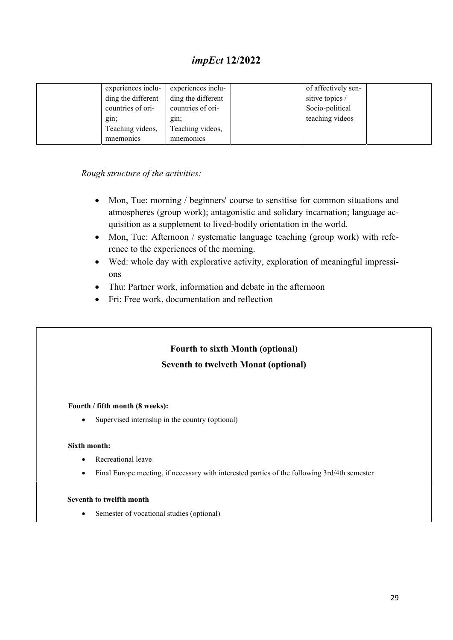| experiences inclu- | experiences inclu- | of affectively sen- |  |
|--------------------|--------------------|---------------------|--|
| ding the different | ding the different | sitive topics /     |  |
| countries of ori-  | countries of ori-  | Socio-political     |  |
| gin;               | gin;               | teaching videos     |  |
| Teaching videos,   | Teaching videos,   |                     |  |
| mnemonics          | mnemonics          |                     |  |

Rough structure of the activities:

- Mon, Tue: morning / beginners' course to sensitise for common situations and atmospheres (group work); antagonistic and solidary incarnation; language acquisition as a supplement to lived-bodily orientation in the world.
- Mon, Tue: Afternoon / systematic language teaching (group work) with reference to the experiences of the morning.
- Wed: whole day with explorative activity, exploration of meaningful impressions
- Thu: Partner work, information and debate in the afternoon
- Fri: Free work, documentation and reflection

### Fourth to sixth Month (optional)

### Seventh to twelveth Monat (optional)

#### Fourth / fifth month (8 weeks):

• Supervised internship in the country (optional)

#### Sixth month:

- Recreational leave
- Final Europe meeting, if necessary with interested parties of the following 3rd/4th semester

#### Seventh to twelfth month

• Semester of vocational studies (optional)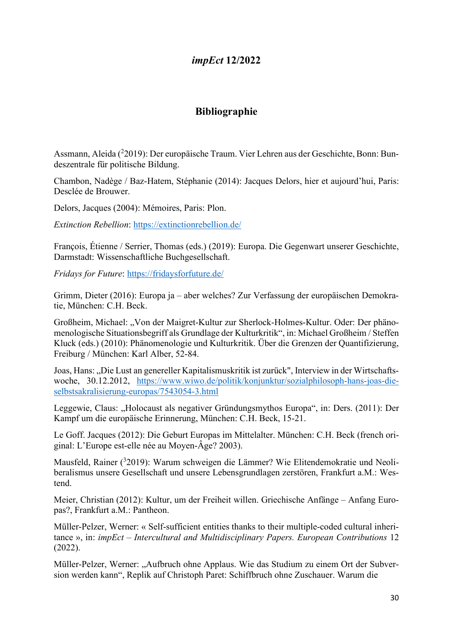### Bibliographie

Assmann, Aleida (<sup>2</sup>2019): Der europäische Traum. Vier Lehren aus der Geschichte, Bonn: Bundeszentrale für politische Bildung.

Chambon, Nadège / Baz-Hatem, Stéphanie (2014): Jacques Delors, hier et aujourd'hui, Paris: Desclée de Brouwer.

Delors, Jacques (2004): Mémoires, Paris: Plon.

Extinction Rebellion: https://extinctionrebellion.de/

François, Étienne / Serrier, Thomas (eds.) (2019): Europa. Die Gegenwart unserer Geschichte, Darmstadt: Wissenschaftliche Buchgesellschaft.

Fridays for Future: https://fridaysforfuture.de/

Grimm, Dieter (2016): Europa ja – aber welches? Zur Verfassung der europäischen Demokratie, München: C.H. Beck.

Großheim, Michael: "Von der Maigret-Kultur zur Sherlock-Holmes-Kultur. Oder: Der phänomenologische Situationsbegriff als Grundlage der Kulturkritik", in: Michael Großheim / Steffen Kluck (eds.) (2010): Phänomenologie und Kulturkritik. Über die Grenzen der Quantifizierung, Freiburg / München: Karl Alber, 52-84.

Joas, Hans: "Die Lust an genereller Kapitalismuskritik ist zurück", Interview in der Wirtschaftswoche, 30.12.2012, https://www.wiwo.de/politik/konjunktur/sozialphilosoph-hans-joas-dieselbstsakralisierung-europas/7543054-3.html

Leggewie, Claus: "Holocaust als negativer Gründungsmythos Europa", in: Ders. (2011): Der Kampf um die europäische Erinnerung, München: C.H. Beck, 15-21.

Le Goff. Jacques (2012): Die Geburt Europas im Mittelalter. München: C.H. Beck (french original: L'Europe est-elle née au Moyen-Âge? 2003).

Mausfeld, Rainer (<sup>3</sup>2019): Warum schweigen die Lämmer? Wie Elitendemokratie und Neoliberalismus unsere Gesellschaft und unsere Lebensgrundlagen zerstören, Frankfurt a.M.: Westend.

Meier, Christian (2012): Kultur, um der Freiheit willen. Griechische Anfänge – Anfang Europas?, Frankfurt a.M.: Pantheon.

Müller-Pelzer, Werner: « Self-sufficient entities thanks to their multiple-coded cultural inheritance », in: *impEct – Intercultural and Multidisciplinary Papers. European Contributions* 12 (2022).

Müller-Pelzer, Werner: "Aufbruch ohne Applaus. Wie das Studium zu einem Ort der Subversion werden kann", Replik auf Christoph Paret: Schiffbruch ohne Zuschauer. Warum die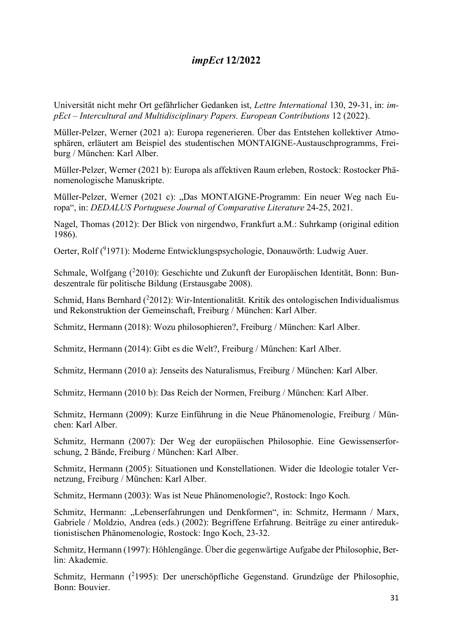Universität nicht mehr Ort gefährlicher Gedanken ist, Lettre International 130, 29-31, in: impEct – Intercultural and Multidisciplinary Papers. European Contributions 12 (2022).

Müller-Pelzer, Werner (2021 a): Europa regenerieren. Über das Entstehen kollektiver Atmosphären, erläutert am Beispiel des studentischen MONTAIGNE-Austauschprogramms, Freiburg / München: Karl Alber.

Müller-Pelzer, Werner (2021 b): Europa als affektiven Raum erleben, Rostock: Rostocker Phänomenologische Manuskripte.

Müller-Pelzer, Werner (2021 c): "Das MONTAIGNE-Programm: Ein neuer Weg nach Europa", in: DEDALUS Portuguese Journal of Comparative Literature 24-25, 2021.

Nagel, Thomas (2012): Der Blick von nirgendwo, Frankfurt a.M.: Suhrkamp (original edition 1986).

Oerter, Rolf (<sup>9</sup>1971): Moderne Entwicklungspsychologie, Donauwörth: Ludwig Auer.

Schmale, Wolfgang (<sup>2</sup>2010): Geschichte und Zukunft der Europäischen Identität, Bonn: Bundeszentrale für politische Bildung (Erstausgabe 2008).

Schmid, Hans Bernhard  $(^{2}2012)$ : Wir-Intentionalität. Kritik des ontologischen Individualismus und Rekonstruktion der Gemeinschaft, Freiburg / München: Karl Alber.

Schmitz, Hermann (2018): Wozu philosophieren?, Freiburg / München: Karl Alber.

Schmitz, Hermann (2014): Gibt es die Welt?, Freiburg / München: Karl Alber.

Schmitz, Hermann (2010 a): Jenseits des Naturalismus, Freiburg / München: Karl Alber.

Schmitz, Hermann (2010 b): Das Reich der Normen, Freiburg / München: Karl Alber.

Schmitz, Hermann (2009): Kurze Einführung in die Neue Phänomenologie, Freiburg / München: Karl Alber.

Schmitz, Hermann (2007): Der Weg der europäischen Philosophie. Eine Gewissenserforschung, 2 Bände, Freiburg / München: Karl Alber.

Schmitz, Hermann (2005): Situationen und Konstellationen. Wider die Ideologie totaler Vernetzung, Freiburg / München: Karl Alber.

Schmitz, Hermann (2003): Was ist Neue Phänomenologie?, Rostock: Ingo Koch.

Schmitz, Hermann: "Lebenserfahrungen und Denkformen", in: Schmitz, Hermann / Marx, Gabriele / Moldzio, Andrea (eds.) (2002): Begriffene Erfahrung. Beiträge zu einer antireduktionistischen Phänomenologie, Rostock: Ingo Koch, 23-32.

Schmitz, Hermann (1997): Höhlengänge. Über die gegenwärtige Aufgabe der Philosophie, Berlin: Akademie.

Schmitz, Hermann (<sup>2</sup>1995): Der unerschöpfliche Gegenstand. Grundzüge der Philosophie, Bonn: Bouvier.